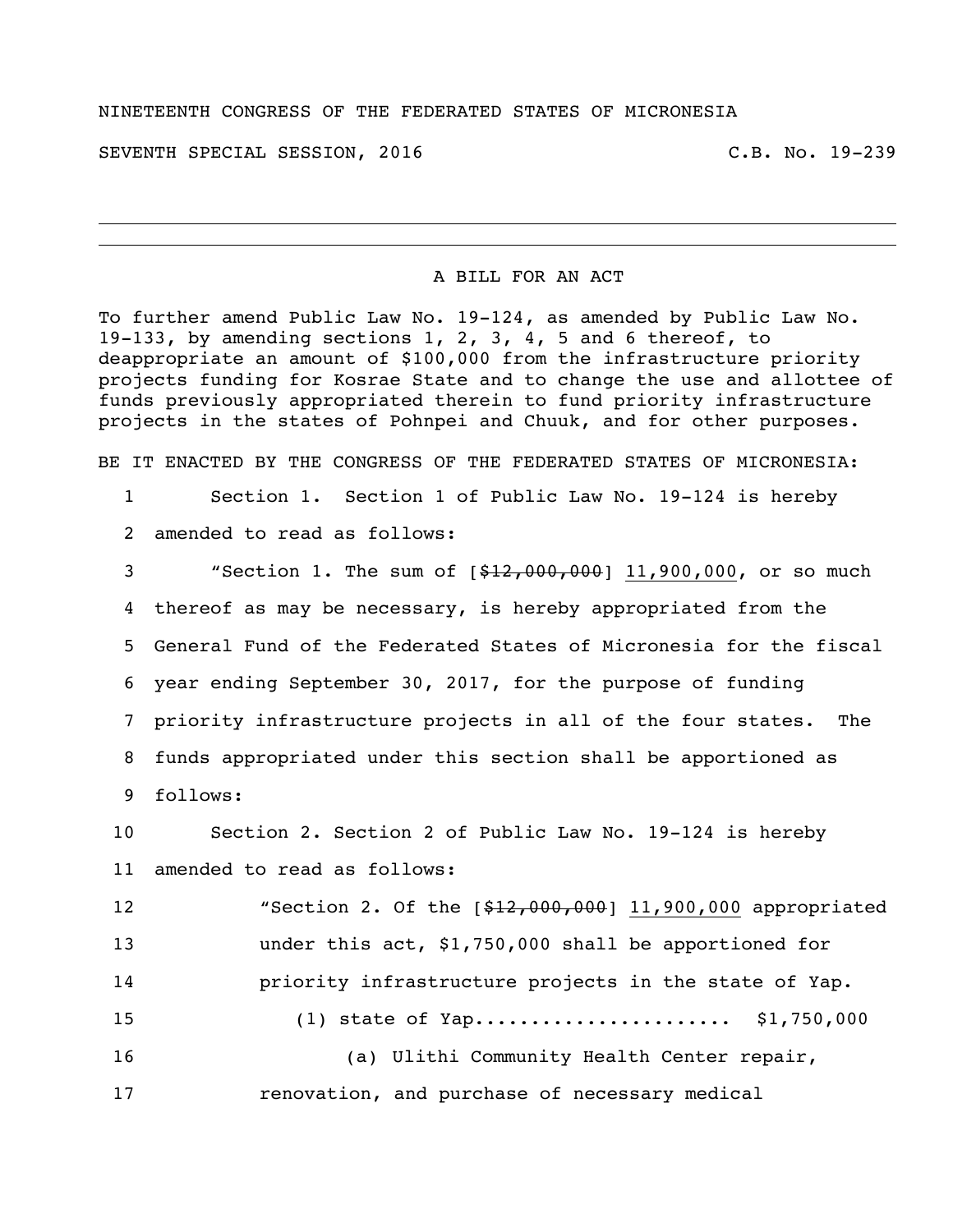## NINETEENTH CONGRESS OF THE FEDERATED STATES OF MICRONESIA

SEVENTH SPECIAL SESSION, 2016 C.B. No. 19-239

## A BILL FOR AN ACT

To further amend Public Law No. 19-124, as amended by Public Law No. 19-133, by amending sections 1, 2, 3, 4, 5 and 6 thereof, to deappropriate an amount of \$100,000 from the infrastructure priority projects funding for Kosrae State and to change the use and allottee of funds previously appropriated therein to fund priority infrastructure projects in the states of Pohnpei and Chuuk, and for other purposes.

BE IT ENACTED BY THE CONGRESS OF THE FEDERATED STATES OF MICRONESIA:

- Section 1. Section 1 of Public Law No. 19-124 is hereby
- amended to read as follows:

 "Section 1. The sum of [\$12,000,000] 11,900,000, or so much thereof as may be necessary, is hereby appropriated from the General Fund of the Federated States of Micronesia for the fiscal year ending September 30, 2017, for the purpose of funding priority infrastructure projects in all of the four states. The funds appropriated under this section shall be apportioned as follows:

 Section 2. Section 2 of Public Law No. 19-124 is hereby amended to read as follows:

 "Section 2. Of the [\$12,000,000] 11,900,000 appropriated under this act, \$1,750,000 shall be apportioned for priority infrastructure projects in the state of Yap. (1) state of Yap....................... \$1,750,000 (a) Ulithi Community Health Center repair,

renovation, and purchase of necessary medical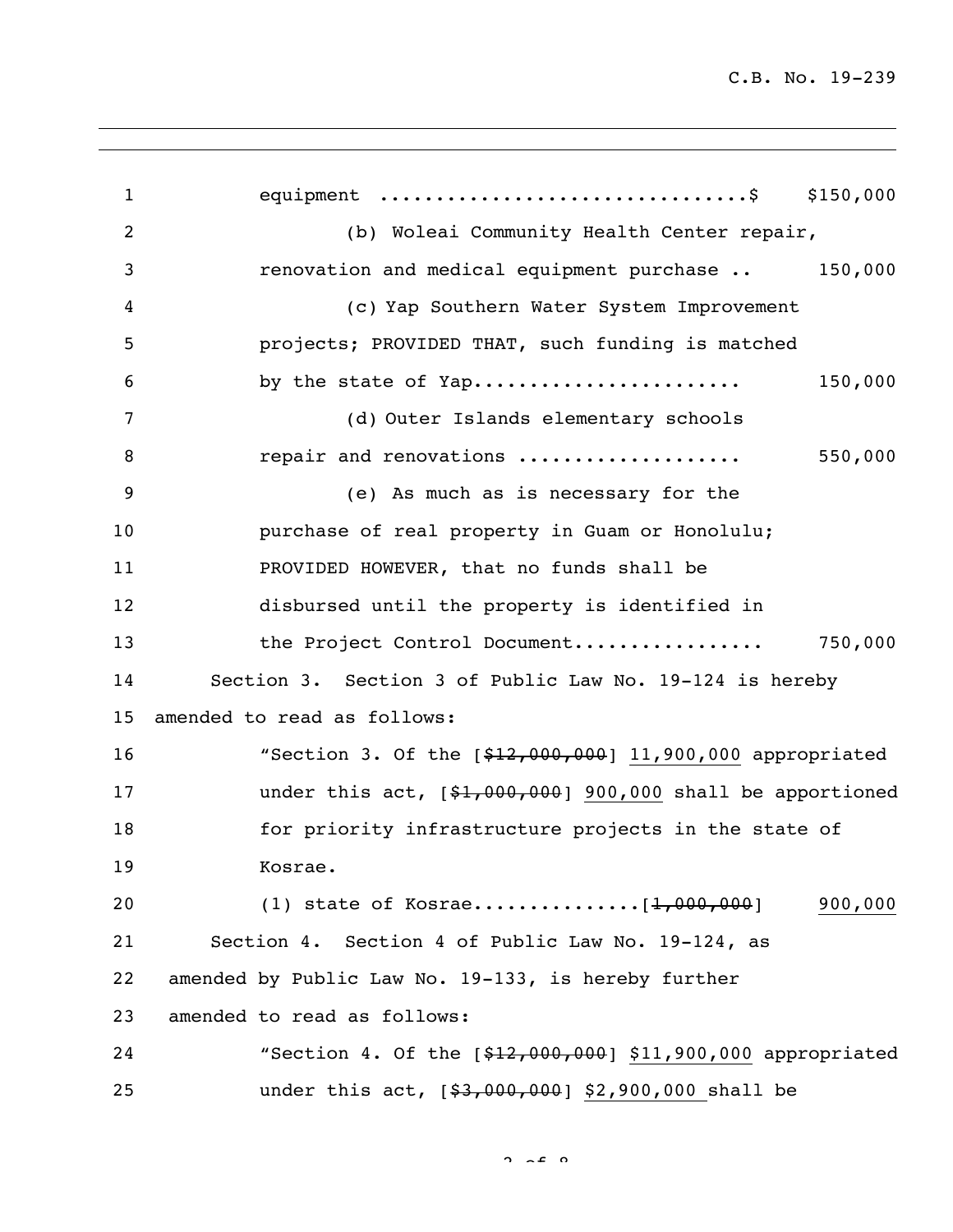equipment .................................\$ \$150,000 (b) Woleai Community Health Center repair, renovation and medical equipment purchase .. 150,000 (c) Yap Southern Water System Improvement projects; PROVIDED THAT, such funding is matched by the state of Yap........................ 150,000 (d) Outer Islands elementary schools repair and renovations .................... 550,000 (e) As much as is necessary for the purchase of real property in Guam or Honolulu; PROVIDED HOWEVER, that no funds shall be disbursed until the property is identified in the Project Control Document................. 750,000 Section 3. Section 3 of Public Law No. 19-124 is hereby amended to read as follows: 16 "Section 3. Of the  $[$12,000,000]$  11,900,000 appropriated under this act, [\$1,000,000] 900,000 shall be apportioned 18 for priority infrastructure projects in the state of Kosrae. 20 (1) state of Kosrae.........................[<del>1,000,000</del>] 900,000 Section 4. Section 4 of Public Law No. 19-124, as amended by Public Law No. 19-133, is hereby further amended to read as follows: 24 "Section 4. Of the  $[$12,000,000]$  \$11,900,000 appropriated 25 under this act,  $[$ \$3,000,000] \$2,900,000 shall be

 $2 \times 8$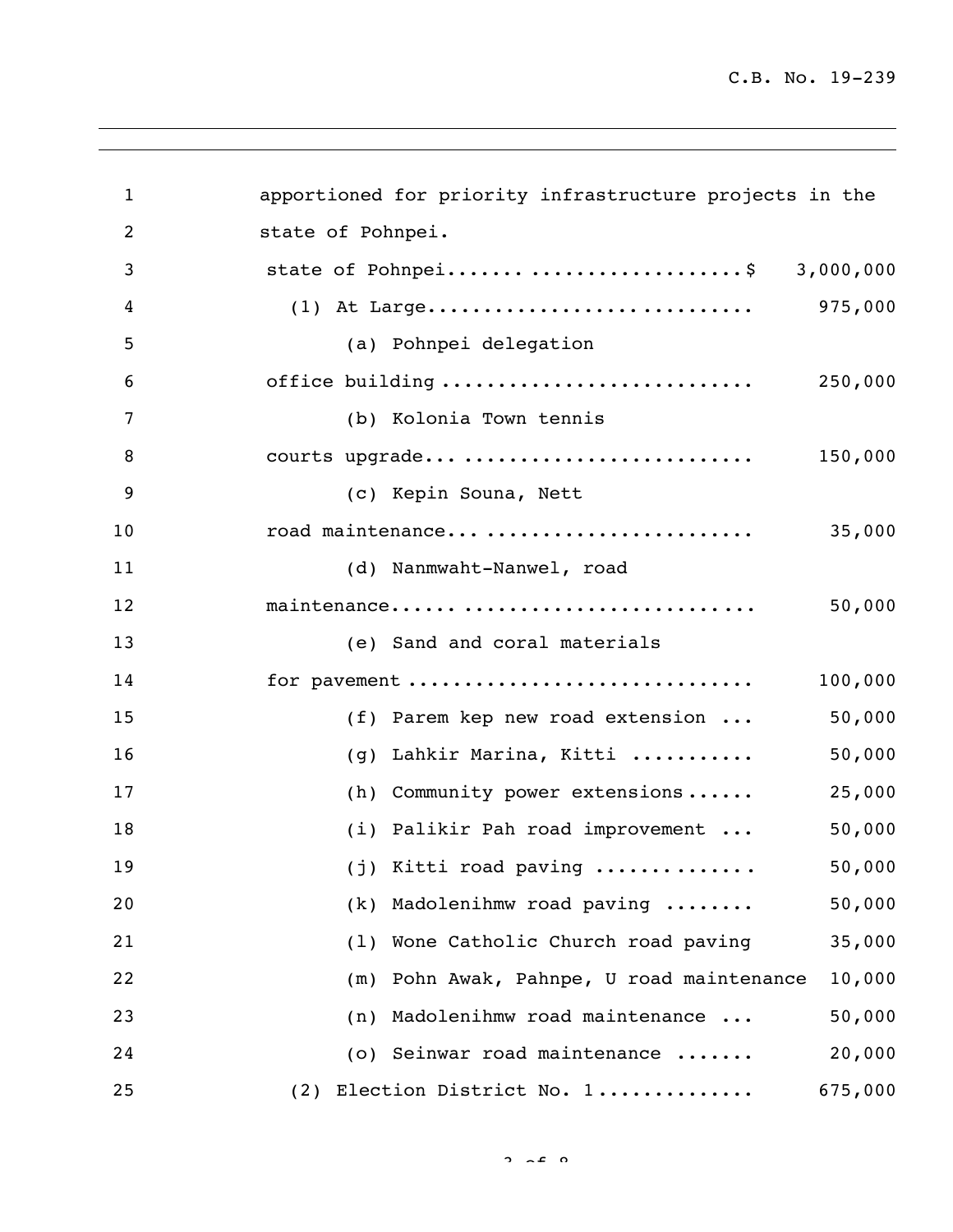| $\mathbf{1}$ | apportioned for priority infrastructure projects in the |
|--------------|---------------------------------------------------------|
|              |                                                         |
| 2            | state of Pohnpei.                                       |
| 3            | state of Pohnpei\$ 3,000,000                            |
| 4            | 975,000                                                 |
| 5            | (a) Pohnpei delegation                                  |
| 6            | office building<br>250,000                              |
| 7            | (b) Kolonia Town tennis                                 |
| 8            | courts upgrade<br>150,000                               |
| 9            | (c) Kepin Souna, Nett                                   |
| 10           | road maintenance<br>35,000                              |
| 11           | (d) Nanmwaht-Nanwel, road                               |
| 12           | maintenance<br>50,000                                   |
| 13           | (e) Sand and coral materials                            |
| 14           | for pavement<br>100,000                                 |
| 15           | 50,000<br>(f) Parem kep new road extension              |
| 16           | 50,000<br>Lahkir Marina, Kitti<br>(q)                   |
| 17           | 25,000<br>(h) Community power extensions                |
| 18           | 50,000<br>(i) Palikir Pah road improvement              |
| 19           | 50,000<br>$(j)$ Kitti road paving                       |
| 20           | 50,000<br>Madolenihmw road paving<br>(k)                |
| 21           | Wone Catholic Church road paving<br>35,000<br>(1)       |
| 22           | 10,000<br>Pohn Awak, Pahnpe, U road maintenance<br>(m)  |
| 23           | Madolenihmw road maintenance<br>50,000<br>(n)           |
| 24           | (o) Seinwar road maintenance<br>20,000                  |
| 25           | Election District No. 1<br>675,000<br>(2)               |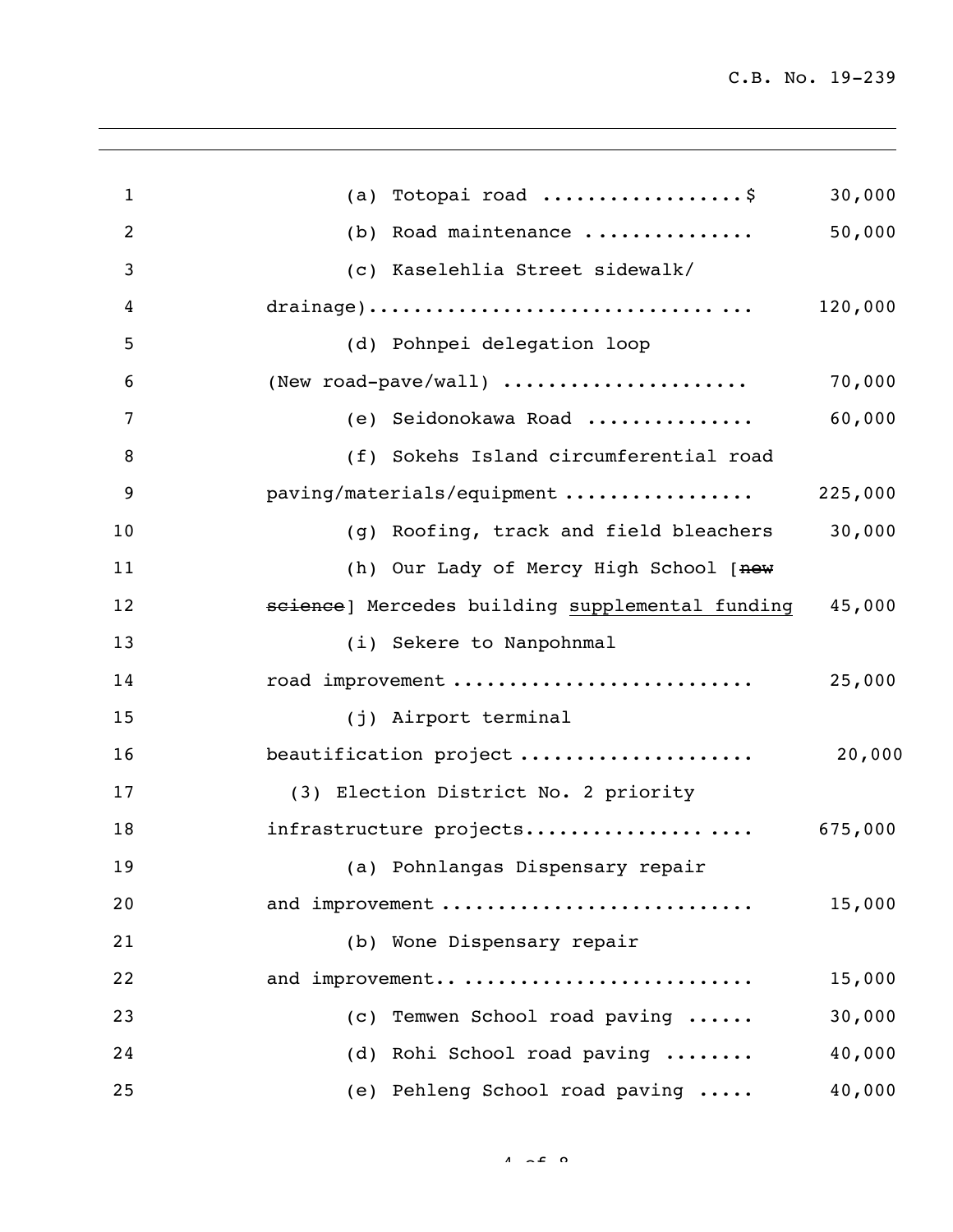| 1              | Totopai road \$<br>(a)                          | 30,000  |
|----------------|-------------------------------------------------|---------|
| $\overline{2}$ | (b) Road maintenance                            | 50,000  |
| 3              | (c) Kaselehlia Street sidewalk/                 |         |
| 4              |                                                 | 120,000 |
| 5              | (d) Pohnpei delegation loop                     |         |
| 6              | (New road-pave/wall)                            | 70,000  |
| 7              | (e) Seidonokawa Road                            | 60,000  |
| 8              | (f) Sokehs Island circumferential road          |         |
| 9              | paving/materials/equipment                      | 225,000 |
| 10             | (g) Roofing, track and field bleachers          | 30,000  |
| 11             | (h) Our Lady of Mercy High School [new          |         |
| 12             | science) Mercedes building supplemental funding | 45,000  |
| 13             | (i) Sekere to Nanpohnmal                        |         |
| 14             | road improvement                                | 25,000  |
| 15             | (j) Airport terminal                            |         |
| 16             | beautification project                          | 20,000  |
| 17             | (3) Election District No. 2 priority            |         |
| 18             | infrastructure projects                         | 675,000 |
| 19             | (a) Pohnlangas Dispensary repair                |         |
| 20             | and improvement                                 | 15,000  |
| 21             | (b) Wone Dispensary repair                      |         |
| 22             | and improvement                                 | 15,000  |
| 23             | Temwen School road paving<br>(C)                | 30,000  |
| 24             | (d) Rohi School road paving                     | 40,000  |
| 25             | (e) Pehleng School road paving                  | 40,000  |
|                |                                                 |         |

 $4 - 5$  0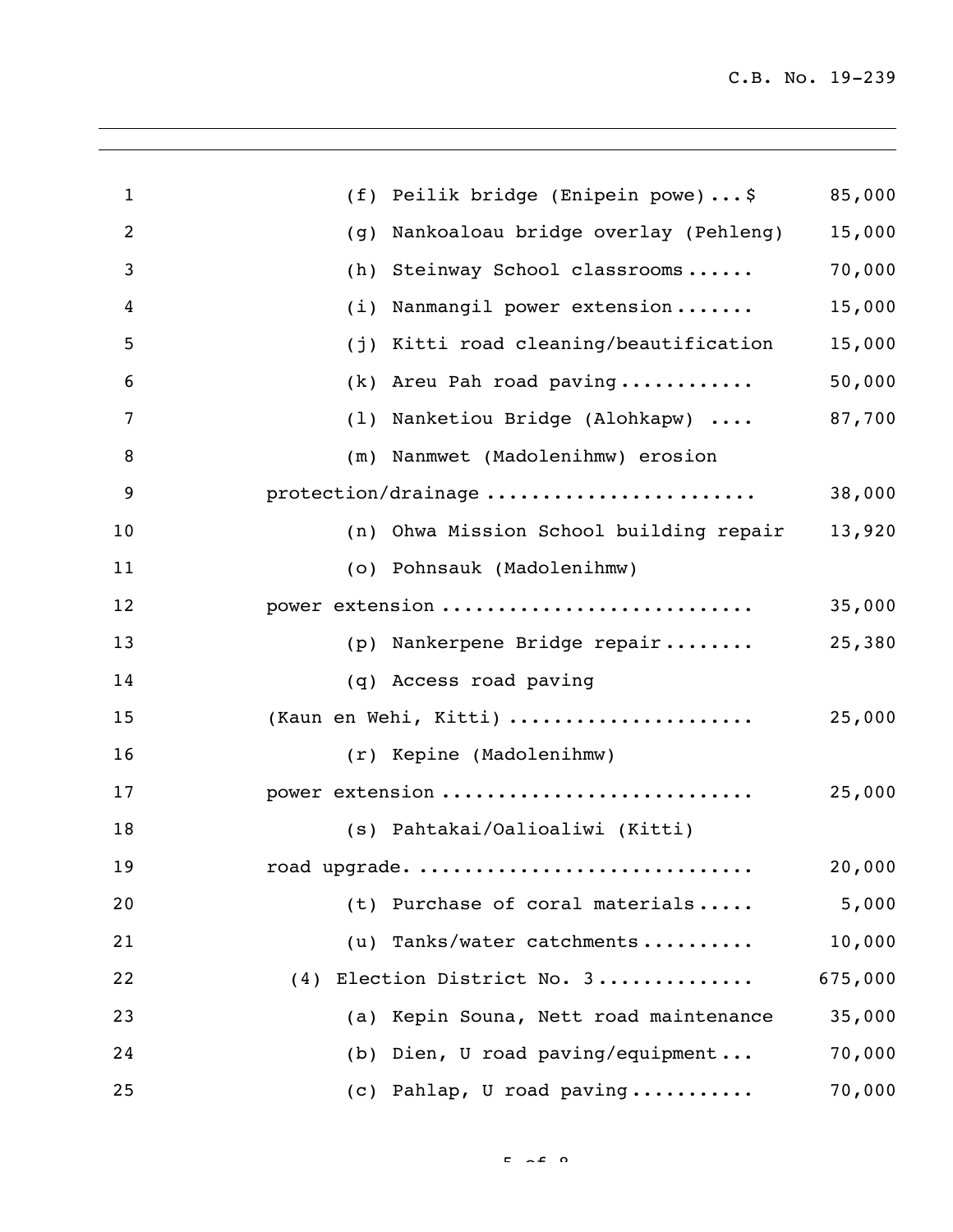| $\mathbf{1}$ | Peilik bridge (Enipein powe)\$<br>(f)      | 85,000  |
|--------------|--------------------------------------------|---------|
| 2            | Nankoaloau bridge overlay (Pehleng)<br>(g) | 15,000  |
| 3            | Steinway School classrooms<br>(h)          | 70,000  |
| 4            | Nanmangil power extension<br>(i)           | 15,000  |
| 5            | Kitti road cleaning/beautification<br>(j)  | 15,000  |
| 6            | Areu Pah road paving<br>(k)                | 50,000  |
| 7            | Nanketiou Bridge (Alohkapw)<br>(1)         | 87,700  |
| 8            | Nanmwet (Madolenihmw) erosion<br>(m)       |         |
| 9            | protection/drainage                        | 38,000  |
| 10           | (n) Ohwa Mission School building repair    | 13,920  |
| 11           | (o) Pohnsauk (Madolenihmw)                 |         |
| 12           | power extension                            | 35,000  |
| 13           | (p) Nankerpene Bridge repair               | 25,380  |
| 14           | (q) Access road paving                     |         |
| 15           | (Kaun en Wehi, Kitti)                      | 25,000  |
| 16           | (r) Kepine (Madolenihmw)                   |         |
| 17           | power extension                            | 25,000  |
| 18           | (s) Pahtakai/Oalioaliwi (Kitti)            |         |
| 19           | road upgrade.                              | 20,000  |
| 20           | (t) Purchase of coral materials            | 5,000   |
| 21           | (u) Tanks/water catchments                 | 10,000  |
| 22           | (4) Election District No. 3                | 675,000 |
| 23           | (a) Kepin Souna, Nett road maintenance     | 35,000  |
| 24           | (b) Dien, U road paving/equipment          | 70,000  |
| 25           | (c) Pahlap, U road paving                  | 70,000  |

 $F \sim 2 \Omega$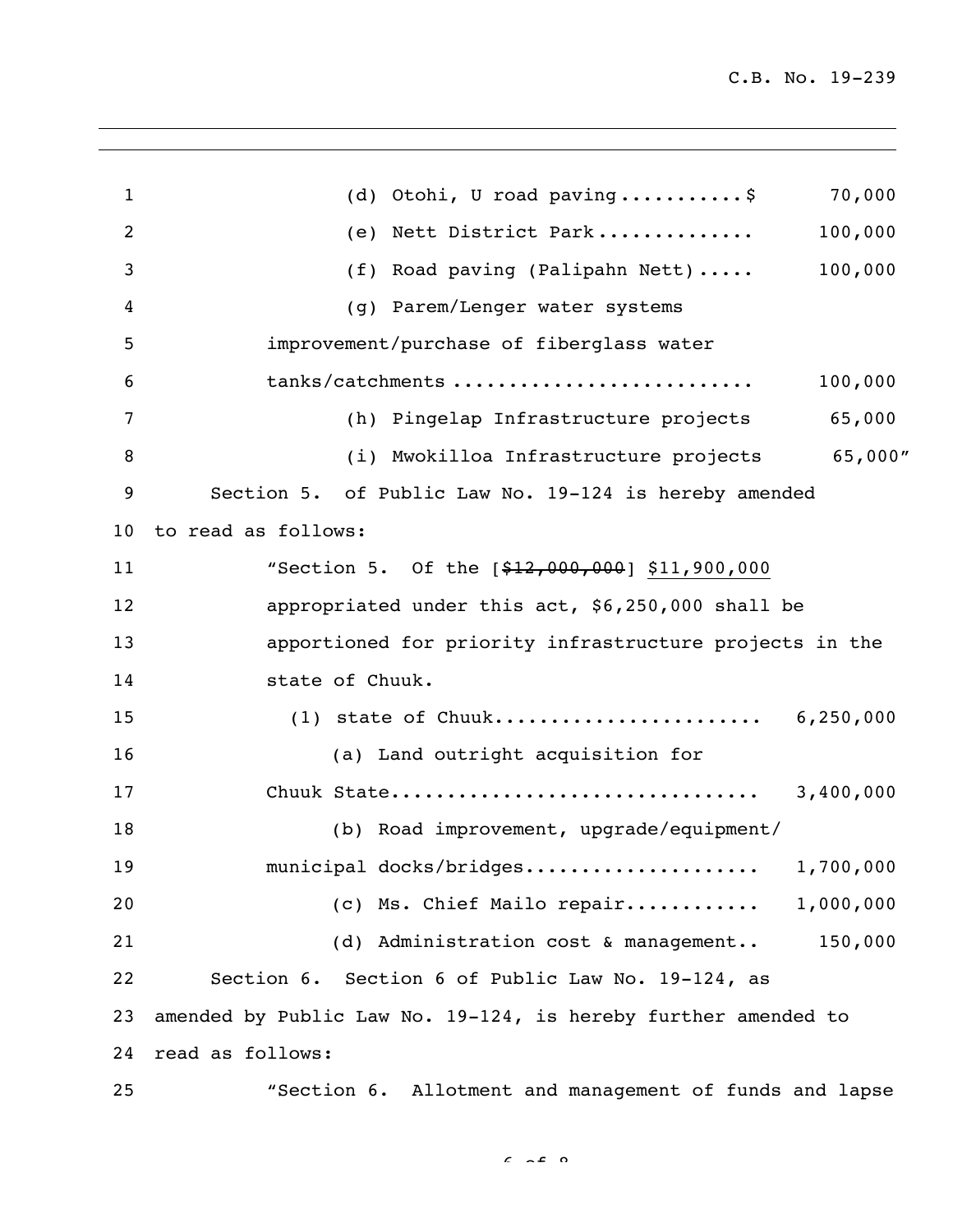| $\mathbf{1}$ | (d) Otohi, U road paving\$<br>70,000                           |          |
|--------------|----------------------------------------------------------------|----------|
| 2            | Nett District Park<br>100,000<br>(e)                           |          |
| 3            | 100,000<br>(f) Road paving (Palipahn Nett)                     |          |
| 4            | (g) Parem/Lenger water systems                                 |          |
| 5            | improvement/purchase of fiberglass water                       |          |
| 6            | tanks/catchments<br>100,000                                    |          |
| 7            | 65,000<br>(h) Pingelap Infrastructure projects                 |          |
| 8            | (i) Mwokilloa Infrastructure projects                          | 65,000'' |
| 9            | Section 5. of Public Law No. 19-124 is hereby amended          |          |
| 10           | to read as follows:                                            |          |
| 11           | "Section 5. Of the [\$12,000,000] \$11,900,000                 |          |
| 12           | appropriated under this act, \$6,250,000 shall be              |          |
| 13           | apportioned for priority infrastructure projects in the        |          |
| 14           | state of Chuuk.                                                |          |
| 15           | $(1)$ state of Chuuk<br>6, 250, 000                            |          |
| 16           | (a) Land outright acquisition for                              |          |
| 17           |                                                                |          |
| 18           | (b) Road improvement, upgrade/equipment/                       |          |
| 19           | municipal docks/bridges<br>1,700,000                           |          |
| 20           | (c) Ms. Chief Mailo repair<br>1,000,000                        |          |
| 21           | (d) Administration cost & management<br>150,000                |          |
| 22           | Section 6. Section 6 of Public Law No. 19-124, as              |          |
| 23           | amended by Public Law No. 19-124, is hereby further amended to |          |
| 24           | read as follows:                                               |          |
| 25           | "Section 6. Allotment and management of funds and lapse        |          |

 $6 - 26 = 8$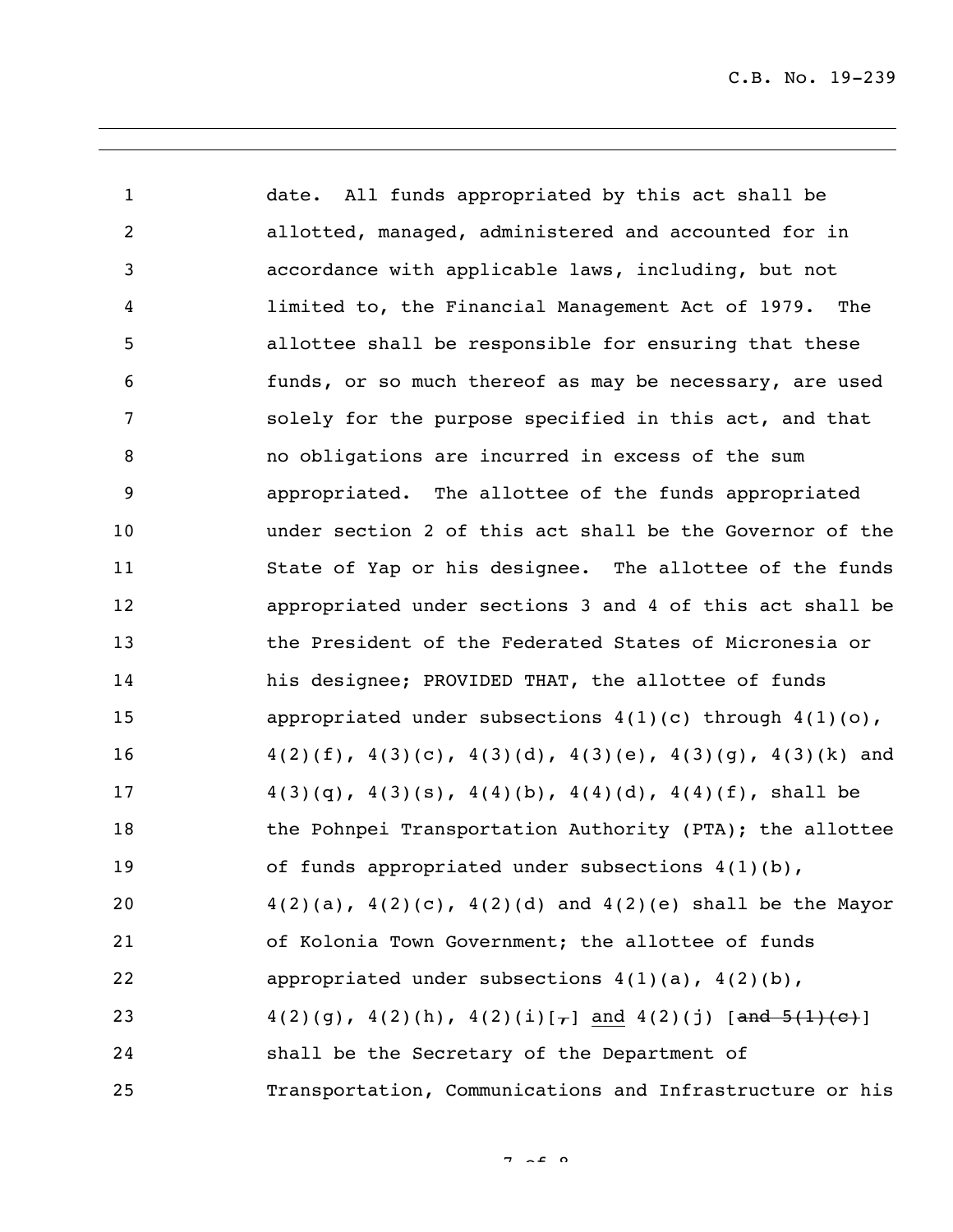date. All funds appropriated by this act shall be allotted, managed, administered and accounted for in accordance with applicable laws, including, but not limited to, the Financial Management Act of 1979. The allottee shall be responsible for ensuring that these funds, or so much thereof as may be necessary, are used solely for the purpose specified in this act, and that no obligations are incurred in excess of the sum appropriated. The allottee of the funds appropriated under section 2 of this act shall be the Governor of the State of Yap or his designee. The allottee of the funds appropriated under sections 3 and 4 of this act shall be the President of the Federated States of Micronesia or his designee; PROVIDED THAT, the allottee of funds appropriated under subsections 4(1)(c) through 4(1)(o), 4(2)(f), 4(3)(c), 4(3)(d), 4(3)(e), 4(3)(g), 4(3)(k) and  $4(3)(q)$ ,  $4(3)(s)$ ,  $4(4)(b)$ ,  $4(4)(d)$ ,  $4(4)(f)$ , shall be 18 the Pohnpei Transportation Authority (PTA); the allottee 19 of funds appropriated under subsections  $4(1)(b)$ ,  $4(2)(a)$ ,  $4(2)(c)$ ,  $4(2)(d)$  and  $4(2)(e)$  shall be the Mayor of Kolonia Town Government; the allottee of funds 22 appropriated under subsections  $4(1)(a)$ ,  $4(2)(b)$ ,  $4(2)(q), 4(2)(h), 4(2)(i)[-]$  and  $4(2)(j)$  [and  $5(1)(c)$ ] shall be the Secretary of the Department of Transportation, Communications and Infrastructure or his

 $7 - 5$   $0$